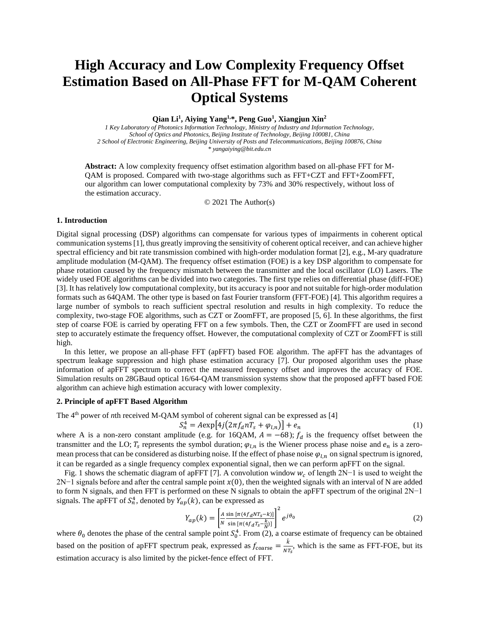# **High Accuracy and Low Complexity Frequency Offset Estimation Based on All-Phase FFT for M-QAM Coherent Optical Systems**

**Qian Li<sup>1</sup> , Aiying Yang1,\*, Peng Guo<sup>1</sup> , Xiangjun Xin<sup>2</sup>**

*1 Key Laboratory of Photonics Information Technology, Ministry of Industry and Information Technology, School of Optics and Photonics, Beijing Institute of Technology, Beijing 100081, China 2 School of Electronic Engineering, Beijing University of Posts and Telecommunications, Beijing 100876, China \* yangaiying@bit.edu.cn*

**Abstract:** A low complexity frequency offset estimation algorithm based on all-phase FFT for M-QAM is proposed. Compared with two-stage algorithms such as FFT+CZT and FFT+ZoomFFT, our algorithm can lower computational complexity by 73% and 30% respectively, without loss of the estimation accuracy.

© 2021 The Author(s)

### **1. Introduction**

Digital signal processing (DSP) algorithms can compensate for various types of impairments in coherent optical communication systems[1], thus greatly improving the sensitivity of coherent optical receiver, and can achieve higher spectral efficiency and bit rate transmission combined with high-order modulation format [2], e.g., M-ary quadrature amplitude modulation (M-QAM). The frequency offset estimation (FOE) is a key DSP algorithm to compensate for phase rotation caused by the frequency mismatch between the transmitter and the local oscillator (LO) Lasers. The widely used FOE algorithms can be divided into two categories. The first type relies on differential phase (diff-FOE) [3]. It has relatively low computational complexity, but its accuracy is poor and not suitable for high-order modulation formats such as 64QAM. The other type is based on fast Fourier transform (FFT-FOE) [4]. This algorithm requires a large number of symbols to reach sufficient spectral resolution and results in high complexity. To reduce the complexity, two-stage FOE algorithms, such as CZT or ZoomFFT, are proposed [5, 6]. In these algorithms, the first step of coarse FOE is carried by operating FFT on a few symbols. Then, the CZT or ZoomFFT are used in second step to accurately estimate the frequency offset. However, the computational complexity of CZT or ZoomFFT is still high.

In this letter, we propose an all-phase FFT (apFFT) based FOE algorithm. The apFFT has the advantages of spectrum leakage suppression and high phase estimation accuracy [7]. Our proposed algorithm uses the phase information of apFFT spectrum to correct the measured frequency offset and improves the accuracy of FOE. Simulation results on 28GBaud optical 16/64-QAM transmission systems show that the proposed apFFT based FOE algorithm can achieve high estimation accuracy with lower complexity.

## **2. Principle of apFFT Based Algorithm**

The 4<sup>th</sup> power of *n*th received M-QAM symbol of coherent signal can be expressed as [4]

$$
S_n^4 = A \exp\left[4j\left(2\pi f_a n T_s + \varphi_{l,n}\right)\right] + e_n \tag{1}
$$

where A is a non-zero constant amplitude (e.g. for 16QAM,  $A = -68$ );  $f_d$  is the frequency offset between the transmitter and the LO;  $T_s$  represents the symbol duration;  $\varphi_{l,n}$  is the Wiener process phase noise and  $e_n$  is a zeromean process that can be considered as disturbing noise. If the effect of phase noise  $\varphi_{l,n}$  on signal spectrum is ignored, it can be regarded as a single frequency complex exponential signal, then we can perform apFFT on the signal.

Fig. 1 shows the schematic diagram of apFFT [7]. A convolution window  $w_c$  of length 2N−1 is used to weight the  $2N-1$  signals before and after the central sample point  $x(0)$ , then the weighted signals with an interval of N are added to form N signals, and then FFT is performed on these N signals to obtain the apFFT spectrum of the original 2N−1 signals. The apFFT of  $S_n^4$ , denoted by  $Y_{ap}(k)$ , can be expressed as

$$
Y_{ap}(k) = \left[\frac{A}{N} \frac{\sin\left[\pi (4f_d N T_S - k)\right]}{\sin\left[\pi (4f_d T_S - \frac{k}{N})\right]}\right]^2 e^{j\theta_0}
$$
\n(2)

where  $\theta_0$  denotes the phase of the central sample point  $S_0^4$ . From (2), a coarse estimate of frequency can be obtained based on the position of apFFT spectrum peak, expressed as  $f_{\text{coarse}} = \frac{\hat{k}}{N}$  $\frac{\kappa}{NT_s}$ , which is the same as FFT-FOE, but its estimation accuracy is also limited by the picket-fence effect of FFT.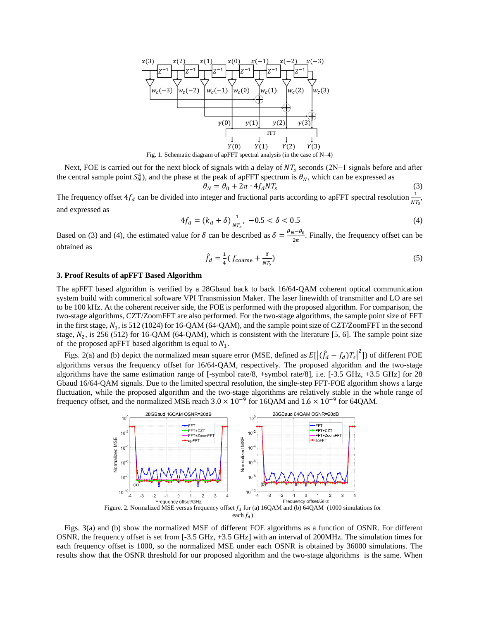

Next, FOE is carried out for the next block of signals with a delay of  $NT_s$  seconds (2N−1 signals before and after the central sample point  $S_N^4$ ), and the phase at the peak of apFFT spectrum is  $\theta_N$ , which can be expressed as

$$
\theta_N = \theta_0 + 2\pi \cdot 4f_dNT_s \tag{3}
$$

The frequency offset  $4f_d$  can be divided into integer and fractional parts according to apFFT spectral resolution  $\frac{1}{NT_s}$ , and expressed as

$$
4f_d = (k_d + \delta) \frac{1}{NT_s}, \ -0.5 < \delta < 0.5 \tag{4}
$$

Based on (3) and (4), the estimated value for  $\delta$  can be described as  $\delta = \frac{\theta_N - \theta_0}{2\pi}$  $\frac{\sqrt{6}}{2\pi}$ . Finally, the frequency offset can be obtained as

$$
\hat{f}_d = \frac{1}{4} (f_{\text{coarse}} + \frac{\delta}{NT_s})
$$
\n(5)

# **3. Proof Results of apFFT Based Algorithm**

The apFFT based algorithm is verified by a 28Gbaud back to back 16/64-QAM coherent optical communication system build with commerical software VPI Transmission Maker. The laser linewidth of transmitter and LO are set to be 100 kHz. At the coherent receiver side, the FOE is performed with the proposed algorithm. For comparison, the two-stage algorithms, CZT/ZoomFFT are also performed. For the two-stage algorithms, the sample point size of FFT in the first stage,  $N_1$ , is 512 (1024) for 16-QAM (64-QAM), and the sample point size of CZT/ZoomFFT in the second stage,  $N_2$ , is 256 (512) for 16-QAM (64-QAM), which is consistent with the literature [5, 6]. The sample point size of the proposed apFFT based algorithm is equal to  $N_1$ .

Figs. 2(a) and (b) depict the normalized mean square error (MSE, defined as  $E[(\hat{f}_d - f_d)T_s]^2]$ ) of different FOE algorithms versus the frequency offset for 16/64-QAM, respectively. The proposed algorithm and the two-stage algorithms have the same estimation range of [-symbol rate/8, +symbol rate/8], i.e.  $[-3.5 \text{ GHz}, +3.5 \text{ GHz}]$  for 28 Gbaud 16/64-QAM signals. Due to the limited spectral resolution, the single-step FFT-FOE algorithm shows a large fluctuation, while the proposed algorithm and the two-stage algorithms are relatively stable in the whole range of frequency offset, and the normalized MSE reach  $3.0 \times 10^{-9}$  for 16QAM and  $1.6 \times 10^{-9}$  for 64QAM.



Figs. 3(a) and (b) show the normalized MSE of different FOE algorithms as a function of OSNR. For different OSNR, the frequency offset is set from [-3.5 GHz, +3.5 GHz] with an interval of 200MHz. The simulation times for each frequency offset is 1000, so the normalized MSE under each OSNR is obtained by 36000 simulations. The results show that the OSNR threshold for our proposed algorithm and the two-stage algorithms is the same. When